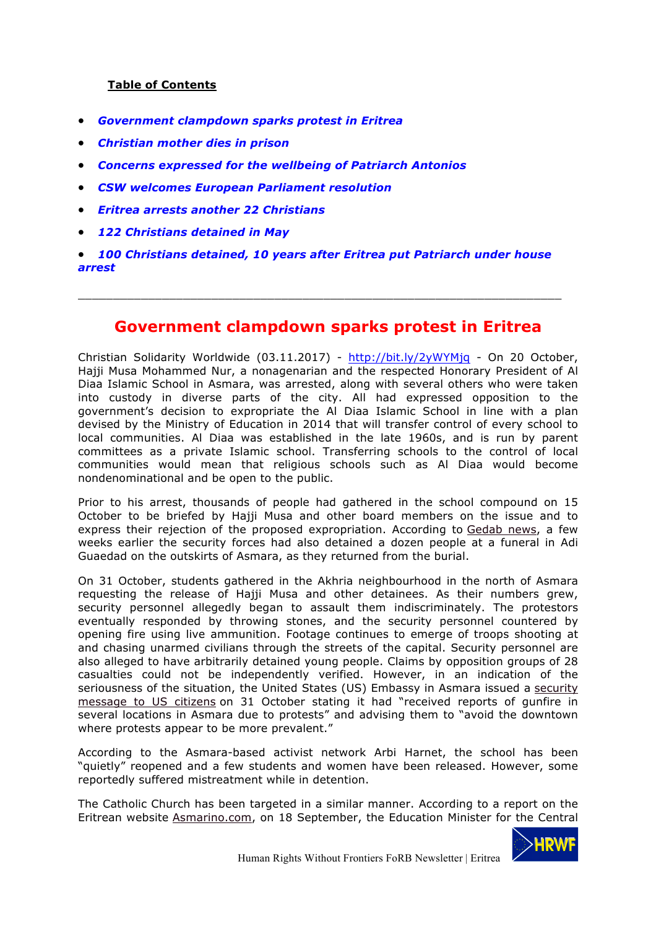#### **Table of Contents**

- *Government clampdown sparks protest in Eritrea*
- *Christian mother dies in prison*
- *Concerns expressed for the wellbeing of Patriarch Antonios*
- *CSW welcomes European Parliament resolution*
- *Eritrea arrests another 22 Christians*
- *122 Christians detained in May*
- *100 Christians detained, 10 years after Eritrea put Patriarch under house arrest*

\_\_\_\_\_\_\_\_\_\_\_\_\_\_\_\_\_\_\_\_\_\_\_\_\_\_\_\_\_\_\_\_\_\_\_\_\_\_\_\_\_\_\_\_\_\_\_\_\_\_\_\_\_\_\_\_\_\_\_\_\_\_\_\_\_\_\_\_\_

#### **Government clampdown sparks protest in Eritrea**

Christian Solidarity Worldwide (03.11.2017) - http://bit.ly/2yWYMjq - On 20 October, Hajji Musa Mohammed Nur, a nonagenarian and the respected Honorary President of Al Diaa Islamic School in Asmara, was arrested, along with several others who were taken into custody in diverse parts of the city. All had expressed opposition to the government's decision to expropriate the Al Diaa Islamic School in line with a plan devised by the Ministry of Education in 2014 that will transfer control of every school to local communities. Al Diaa was established in the late 1960s, and is run by parent committees as a private Islamic school. Transferring schools to the control of local communities would mean that religious schools such as Al Diaa would become nondenominational and be open to the public.

Prior to his arrest, thousands of people had gathered in the school compound on 15 October to be briefed by Hajji Musa and other board members on the issue and to express their rejection of the proposed expropriation. According to Gedab news, a few weeks earlier the security forces had also detained a dozen people at a funeral in Adi Guaedad on the outskirts of Asmara, as they returned from the burial.

On 31 October, students gathered in the Akhria neighbourhood in the north of Asmara requesting the release of Hajji Musa and other detainees. As their numbers grew, security personnel allegedly began to assault them indiscriminately. The protestors eventually responded by throwing stones, and the security personnel countered by opening fire using live ammunition. Footage continues to emerge of troops shooting at and chasing unarmed civilians through the streets of the capital. Security personnel are also alleged to have arbitrarily detained young people. Claims by opposition groups of 28 casualties could not be independently verified. However, in an indication of the seriousness of the situation, the United States (US) Embassy in Asmara issued a security message to US citizens on 31 October stating it had "received reports of gunfire in several locations in Asmara due to protests" and advising them to "avoid the downtown where protests appear to be more prevalent."

According to the Asmara-based activist network Arbi Harnet, the school has been "quietly" reopened and a few students and women have been released. However, some reportedly suffered mistreatment while in detention.

The Catholic Church has been targeted in a similar manner. According to a report on the Eritrean website Asmarino.com, on 18 September, the Education Minister for the Central

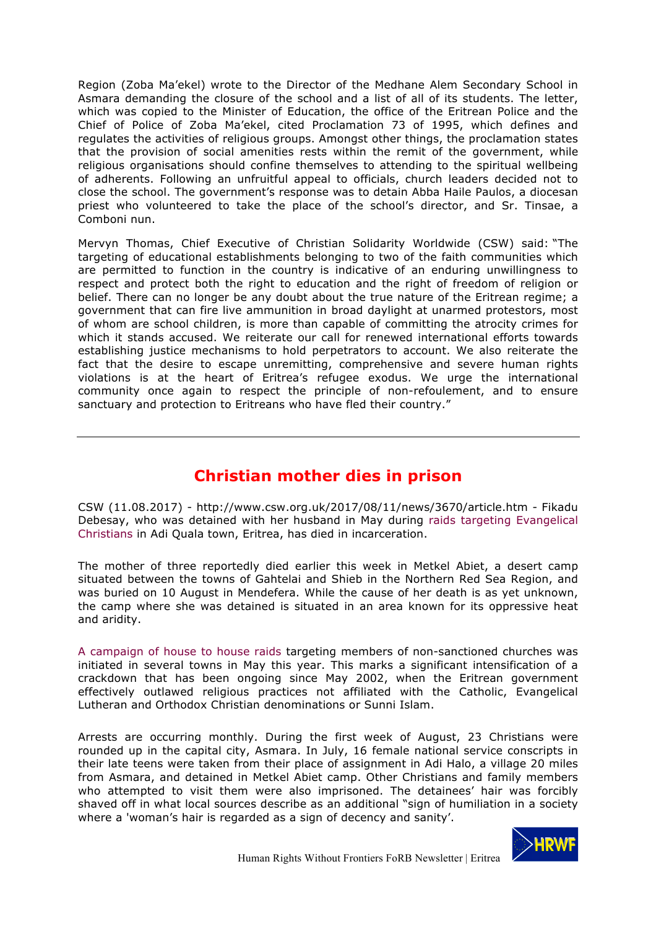Region (Zoba Ma'ekel) wrote to the Director of the Medhane Alem Secondary School in Asmara demanding the closure of the school and a list of all of its students. The letter, which was copied to the Minister of Education, the office of the Eritrean Police and the Chief of Police of Zoba Ma'ekel, cited Proclamation 73 of 1995, which defines and regulates the activities of religious groups. Amongst other things, the proclamation states that the provision of social amenities rests within the remit of the government, while religious organisations should confine themselves to attending to the spiritual wellbeing of adherents. Following an unfruitful appeal to officials, church leaders decided not to close the school. The government's response was to detain Abba Haile Paulos, a diocesan priest who volunteered to take the place of the school's director, and Sr. Tinsae, a Comboni nun.

Mervyn Thomas, Chief Executive of Christian Solidarity Worldwide (CSW) said: "The targeting of educational establishments belonging to two of the faith communities which are permitted to function in the country is indicative of an enduring unwillingness to respect and protect both the right to education and the right of freedom of religion or belief. There can no longer be any doubt about the true nature of the Eritrean regime; a government that can fire live ammunition in broad daylight at unarmed protestors, most of whom are school children, is more than capable of committing the atrocity crimes for which it stands accused. We reiterate our call for renewed international efforts towards establishing justice mechanisms to hold perpetrators to account. We also reiterate the fact that the desire to escape unremitting, comprehensive and severe human rights violations is at the heart of Eritrea's refugee exodus. We urge the international community once again to respect the principle of non-refoulement, and to ensure sanctuary and protection to Eritreans who have fled their country."

# **Christian mother dies in prison**

CSW (11.08.2017) - http://www.csw.org.uk/2017/08/11/news/3670/article.htm - Fikadu Debesay, who was detained with her husband in May during raids targeting Evangelical Christians in Adi Quala town, Eritrea, has died in incarceration.

The mother of three reportedly died earlier this week in Metkel Abiet, a desert camp situated between the towns of Gahtelai and Shieb in the Northern Red Sea Region, and was buried on 10 August in Mendefera. While the cause of her death is as yet unknown, the camp where she was detained is situated in an area known for its oppressive heat and aridity.

A campaign of house to house raids targeting members of non-sanctioned churches was initiated in several towns in May this year. This marks a significant intensification of a crackdown that has been ongoing since May 2002, when the Eritrean government effectively outlawed religious practices not affiliated with the Catholic, Evangelical Lutheran and Orthodox Christian denominations or Sunni Islam.

Arrests are occurring monthly. During the first week of August, 23 Christians were rounded up in the capital city, Asmara. In July, 16 female national service conscripts in their late teens were taken from their place of assignment in Adi Halo, a village 20 miles from Asmara, and detained in Metkel Abiet camp. Other Christians and family members who attempted to visit them were also imprisoned. The detainees' hair was forcibly shaved off in what local sources describe as an additional "sign of humiliation in a society where a 'woman's hair is regarded as a sign of decency and sanity'.

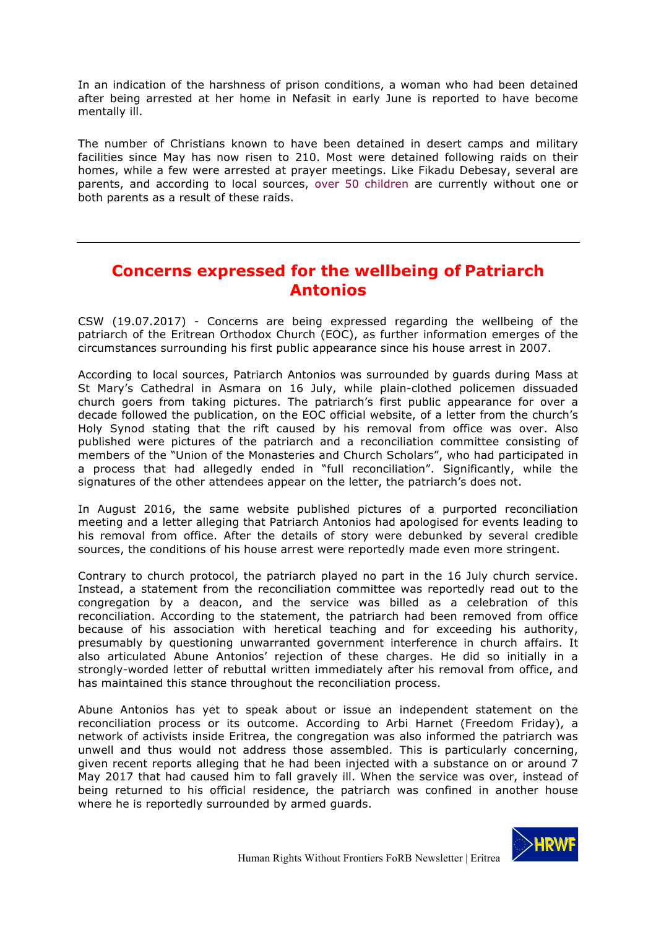In an indication of the harshness of prison conditions, a woman who had been detained after being arrested at her home in Nefasit in early June is reported to have become mentally ill.

The number of Christians known to have been detained in desert camps and military facilities since May has now risen to 210. Most were detained following raids on their homes, while a few were arrested at prayer meetings. Like Fikadu Debesay, several are parents, and according to local sources, over 50 children are currently without one or both parents as a result of these raids.

## **Concerns expressed for the wellbeing of Patriarch Antonios**

CSW (19.07.2017) - Concerns are being expressed regarding the wellbeing of the patriarch of the Eritrean Orthodox Church (EOC), as further information emerges of the circumstances surrounding his first public appearance since his house arrest in 2007.

According to local sources, Patriarch Antonios was surrounded by guards during Mass at St Mary's Cathedral in Asmara on 16 July, while plain-clothed policemen dissuaded church goers from taking pictures. The patriarch's first public appearance for over a decade followed the publication, on the EOC official website, of a letter from the church's Holy Synod stating that the rift caused by his removal from office was over. Also published were pictures of the patriarch and a reconciliation committee consisting of members of the "Union of the Monasteries and Church Scholars", who had participated in a process that had allegedly ended in "full reconciliation". Significantly, while the signatures of the other attendees appear on the letter, the patriarch's does not.

In August 2016, the same website published pictures of a purported reconciliation meeting and a letter alleging that Patriarch Antonios had apologised for events leading to his removal from office. After the details of story were debunked by several credible sources, the conditions of his house arrest were reportedly made even more stringent.

Contrary to church protocol, the patriarch played no part in the 16 July church service. Instead, a statement from the reconciliation committee was reportedly read out to the congregation by a deacon, and the service was billed as a celebration of this reconciliation. According to the statement, the patriarch had been removed from office because of his association with heretical teaching and for exceeding his authority, presumably by questioning unwarranted government interference in church affairs. It also articulated Abune Antonios' rejection of these charges. He did so initially in a strongly-worded letter of rebuttal written immediately after his removal from office, and has maintained this stance throughout the reconciliation process.

Abune Antonios has yet to speak about or issue an independent statement on the reconciliation process or its outcome. According to Arbi Harnet (Freedom Friday), a network of activists inside Eritrea, the congregation was also informed the patriarch was unwell and thus would not address those assembled. This is particularly concerning, given recent reports alleging that he had been injected with a substance on or around 7 May 2017 that had caused him to fall gravely ill. When the service was over, instead of being returned to his official residence, the patriarch was confined in another house where he is reportedly surrounded by armed guards.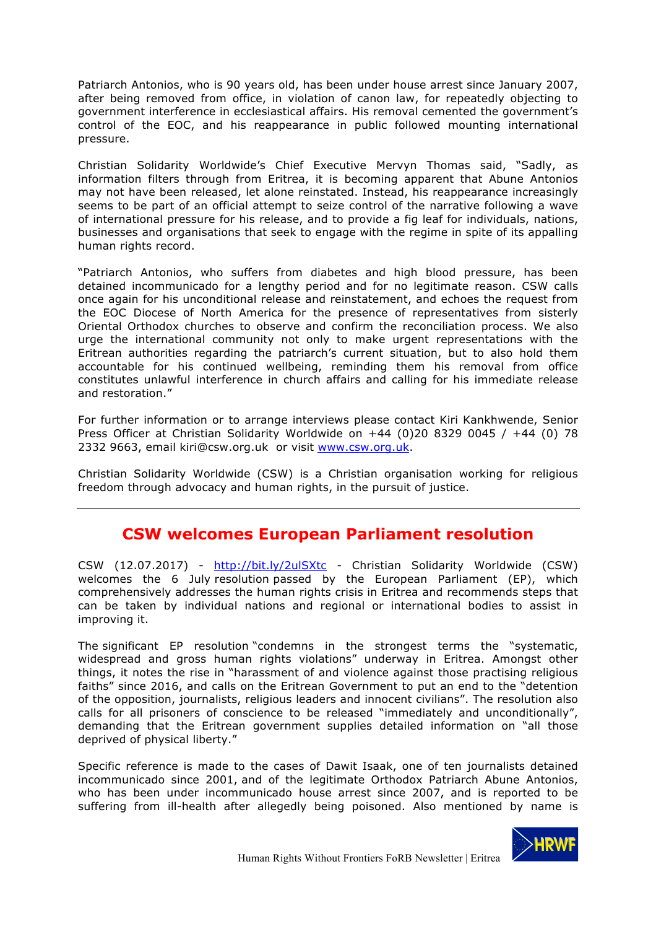Patriarch Antonios, who is 90 years old, has been under house arrest since January 2007, after being removed from office, in violation of canon law, for repeatedly objecting to government interference in ecclesiastical affairs. His removal cemented the government's control of the EOC, and his reappearance in public followed mounting international pressure.

Christian Solidarity Worldwide's Chief Executive Mervyn Thomas said, "Sadly, as information filters through from Eritrea, it is becoming apparent that Abune Antonios may not have been released, let alone reinstated. Instead, his reappearance increasingly seems to be part of an official attempt to seize control of the narrative following a wave of international pressure for his release, and to provide a fig leaf for individuals, nations, businesses and organisations that seek to engage with the regime in spite of its appalling human rights record.

"Patriarch Antonios, who suffers from diabetes and high blood pressure, has been detained incommunicado for a lengthy period and for no legitimate reason. CSW calls once again for his unconditional release and reinstatement, and echoes the request from the EOC Diocese of North America for the presence of representatives from sisterly Oriental Orthodox churches to observe and confirm the reconciliation process. We also urge the international community not only to make urgent representations with the Eritrean authorities regarding the patriarch's current situation, but to also hold them accountable for his continued wellbeing, reminding them his removal from office constitutes unlawful interference in church affairs and calling for his immediate release and restoration."

For further information or to arrange interviews please contact Kiri Kankhwende, Senior Press Officer at Christian Solidarity Worldwide on  $+44$  (0)20 8329 0045 /  $+44$  (0) 78 2332 9663, email kiri@csw.org.uk or visit www.csw.org.uk.

Christian Solidarity Worldwide (CSW) is a Christian organisation working for religious freedom through advocacy and human rights, in the pursuit of justice.

# **CSW welcomes European Parliament resolution**

CSW (12.07.2017) - http://bit.ly/2ulSXtc - Christian Solidarity Worldwide (CSW) welcomes the 6 July resolution passed by the European Parliament (EP), which comprehensively addresses the human rights crisis in Eritrea and recommends steps that can be taken by individual nations and regional or international bodies to assist in improving it.

The significant EP resolution "condemns in the strongest terms the "systematic, widespread and gross human rights violations" underway in Eritrea. Amongst other things, it notes the rise in "harassment of and violence against those practising religious faiths" since 2016, and calls on the Eritrean Government to put an end to the "detention of the opposition, journalists, religious leaders and innocent civilians". The resolution also calls for all prisoners of conscience to be released "immediately and unconditionally", demanding that the Eritrean government supplies detailed information on "all those deprived of physical liberty."

Specific reference is made to the cases of Dawit Isaak, one of ten journalists detained incommunicado since 2001, and of the legitimate Orthodox Patriarch Abune Antonios, who has been under incommunicado house arrest since 2007, and is reported to be suffering from ill-health after allegedly being poisoned. Also mentioned by name is

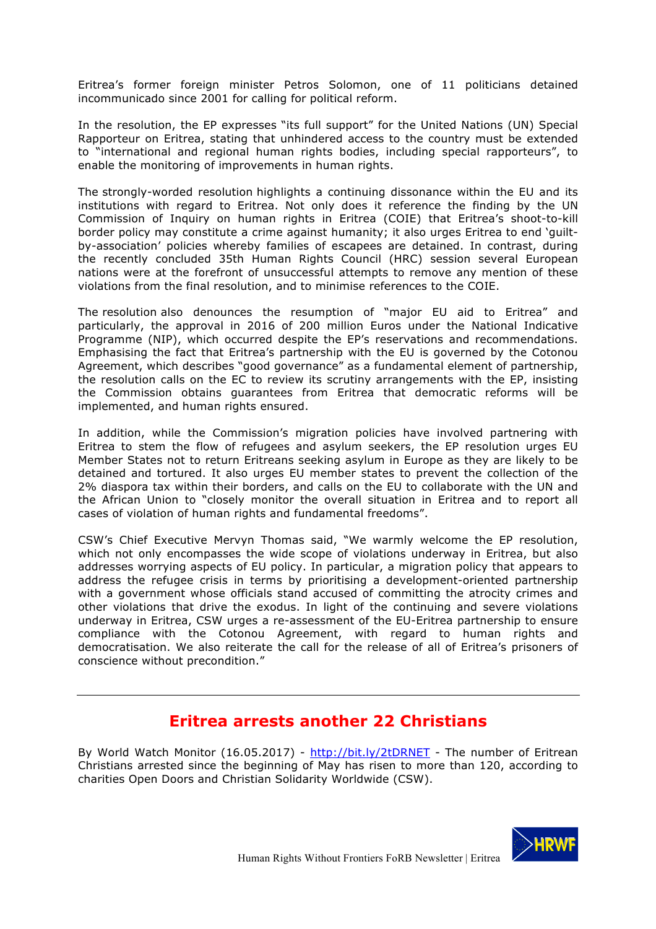Eritrea's former foreign minister Petros Solomon, one of 11 politicians detained incommunicado since 2001 for calling for political reform.

In the resolution, the EP expresses "its full support" for the United Nations (UN) Special Rapporteur on Eritrea, stating that unhindered access to the country must be extended to "international and regional human rights bodies, including special rapporteurs", to enable the monitoring of improvements in human rights.

The strongly-worded resolution highlights a continuing dissonance within the EU and its institutions with regard to Eritrea. Not only does it reference the finding by the UN Commission of Inquiry on human rights in Eritrea (COIE) that Eritrea's shoot-to-kill border policy may constitute a crime against humanity; it also urges Eritrea to end 'guiltby-association' policies whereby families of escapees are detained. In contrast, during the recently concluded 35th Human Rights Council (HRC) session several European nations were at the forefront of unsuccessful attempts to remove any mention of these violations from the final resolution, and to minimise references to the COIE.

The resolution also denounces the resumption of "major EU aid to Eritrea" and particularly, the approval in 2016 of 200 million Euros under the National Indicative Programme (NIP), which occurred despite the EP's reservations and recommendations. Emphasising the fact that Eritrea's partnership with the EU is governed by the Cotonou Agreement, which describes "good governance" as a fundamental element of partnership, the resolution calls on the EC to review its scrutiny arrangements with the EP, insisting the Commission obtains guarantees from Eritrea that democratic reforms will be implemented, and human rights ensured.

In addition, while the Commission's migration policies have involved partnering with Eritrea to stem the flow of refugees and asylum seekers, the EP resolution urges EU Member States not to return Eritreans seeking asylum in Europe as they are likely to be detained and tortured. It also urges EU member states to prevent the collection of the 2% diaspora tax within their borders, and calls on the EU to collaborate with the UN and the African Union to "closely monitor the overall situation in Eritrea and to report all cases of violation of human rights and fundamental freedoms".

CSW's Chief Executive Mervyn Thomas said, "We warmly welcome the EP resolution, which not only encompasses the wide scope of violations underway in Eritrea, but also addresses worrying aspects of EU policy. In particular, a migration policy that appears to address the refugee crisis in terms by prioritising a development-oriented partnership with a government whose officials stand accused of committing the atrocity crimes and other violations that drive the exodus. In light of the continuing and severe violations underway in Eritrea, CSW urges a re-assessment of the EU-Eritrea partnership to ensure compliance with the Cotonou Agreement, with regard to human rights and democratisation. We also reiterate the call for the release of all of Eritrea's prisoners of conscience without precondition."

### **Eritrea arrests another 22 Christians**

By World Watch Monitor (16.05.2017) - http://bit.ly/2tDRNET - The number of Eritrean Christians arrested since the beginning of May has risen to more than 120, according to charities Open Doors and Christian Solidarity Worldwide (CSW).

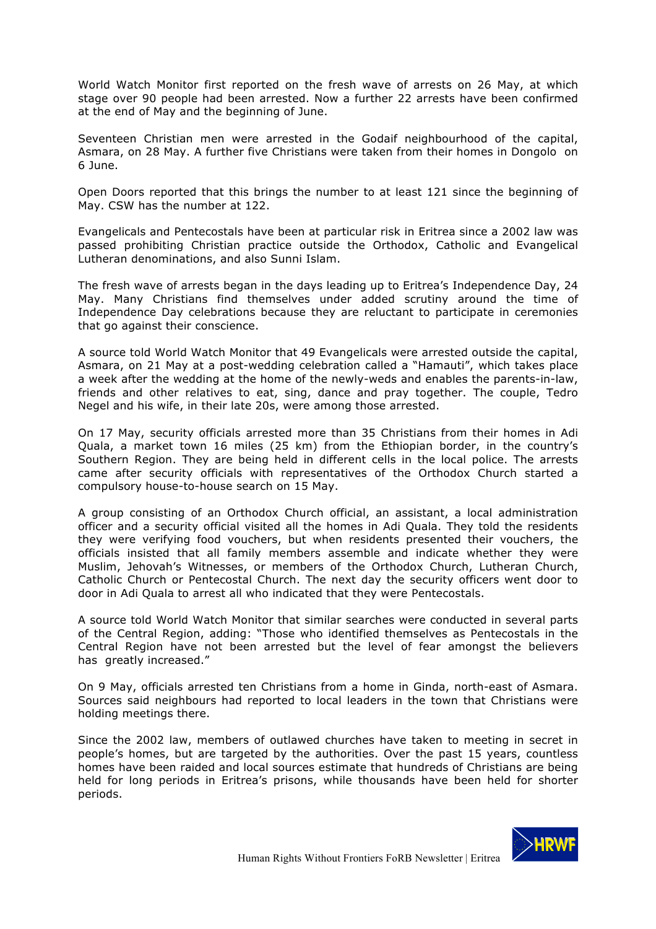World Watch Monitor first reported on the fresh wave of arrests on 26 May, at which stage over 90 people had been arrested. Now a further 22 arrests have been confirmed at the end of May and the beginning of June.

Seventeen Christian men were arrested in the Godaif neighbourhood of the capital, Asmara, on 28 May. A further five Christians were taken from their homes in Dongolo on 6 June.

Open Doors reported that this brings the number to at least 121 since the beginning of May. CSW has the number at 122.

Evangelicals and Pentecostals have been at particular risk in Eritrea since a 2002 law was passed prohibiting Christian practice outside the Orthodox, Catholic and Evangelical Lutheran denominations, and also Sunni Islam.

The fresh wave of arrests began in the days leading up to Eritrea's Independence Day, 24 May. Many Christians find themselves under added scrutiny around the time of Independence Day celebrations because they are reluctant to participate in ceremonies that go against their conscience.

A source told World Watch Monitor that 49 Evangelicals were arrested outside the capital, Asmara, on 21 May at a post-wedding celebration called a "Hamauti", which takes place a week after the wedding at the home of the newly-weds and enables the parents-in-law, friends and other relatives to eat, sing, dance and pray together. The couple, Tedro Negel and his wife, in their late 20s, were among those arrested.

On 17 May, security officials arrested more than 35 Christians from their homes in Adi Quala, a market town 16 miles (25 km) from the Ethiopian border, in the country's Southern Region. They are being held in different cells in the local police. The arrests came after security officials with representatives of the Orthodox Church started a compulsory house-to-house search on 15 May.

A group consisting of an Orthodox Church official, an assistant, a local administration officer and a security official visited all the homes in Adi Quala. They told the residents they were verifying food vouchers, but when residents presented their vouchers, the officials insisted that all family members assemble and indicate whether they were Muslim, Jehovah's Witnesses, or members of the Orthodox Church, Lutheran Church, Catholic Church or Pentecostal Church. The next day the security officers went door to door in Adi Quala to arrest all who indicated that they were Pentecostals.

A source told World Watch Monitor that similar searches were conducted in several parts of the Central Region, adding: "Those who identified themselves as Pentecostals in the Central Region have not been arrested but the level of fear amongst the believers has greatly increased."

On 9 May, officials arrested ten Christians from a home in Ginda, north-east of Asmara. Sources said neighbours had reported to local leaders in the town that Christians were holding meetings there.

Since the 2002 law, members of outlawed churches have taken to meeting in secret in people's homes, but are targeted by the authorities. Over the past 15 years, countless homes have been raided and local sources estimate that hundreds of Christians are being held for long periods in Eritrea's prisons, while thousands have been held for shorter periods.

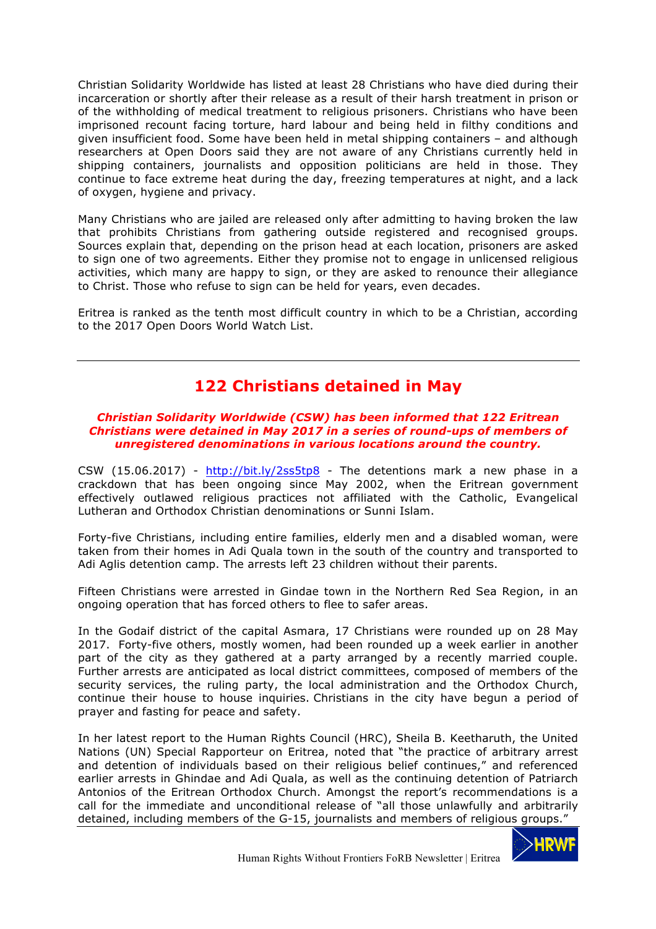Christian Solidarity Worldwide has listed at least 28 Christians who have died during their incarceration or shortly after their release as a result of their harsh treatment in prison or of the withholding of medical treatment to religious prisoners. Christians who have been imprisoned recount facing torture, hard labour and being held in filthy conditions and given insufficient food. Some have been held in metal shipping containers – and although researchers at Open Doors said they are not aware of any Christians currently held in shipping containers, journalists and opposition politicians are held in those. They continue to face extreme heat during the day, freezing temperatures at night, and a lack of oxygen, hygiene and privacy.

Many Christians who are jailed are released only after admitting to having broken the law that prohibits Christians from gathering outside registered and recognised groups. Sources explain that, depending on the prison head at each location, prisoners are asked to sign one of two agreements. Either they promise not to engage in unlicensed religious activities, which many are happy to sign, or they are asked to renounce their allegiance to Christ. Those who refuse to sign can be held for years, even decades.

Eritrea is ranked as the tenth most difficult country in which to be a Christian, according to the 2017 Open Doors World Watch List.

# **122 Christians detained in May**

#### *Christian Solidarity Worldwide (CSW) has been informed that 122 Eritrean Christians were detained in May 2017 in a series of round-ups of members of unregistered denominations in various locations around the country.*

CSW  $(15.06.2017)$  - http://bit.ly/2ss5tp8 - The detentions mark a new phase in a crackdown that has been ongoing since May 2002, when the Eritrean government effectively outlawed religious practices not affiliated with the Catholic, Evangelical Lutheran and Orthodox Christian denominations or Sunni Islam.

Forty-five Christians, including entire families, elderly men and a disabled woman, were taken from their homes in Adi Quala town in the south of the country and transported to Adi Aglis detention camp. The arrests left 23 children without their parents.

Fifteen Christians were arrested in Gindae town in the Northern Red Sea Region, in an ongoing operation that has forced others to flee to safer areas.

In the Godaif district of the capital Asmara, 17 Christians were rounded up on 28 May 2017. Forty-five others, mostly women, had been rounded up a week earlier in another part of the city as they gathered at a party arranged by a recently married couple. Further arrests are anticipated as local district committees, composed of members of the security services, the ruling party, the local administration and the Orthodox Church, continue their house to house inquiries. Christians in the city have begun a period of prayer and fasting for peace and safety.

In her latest report to the Human Rights Council (HRC), Sheila B. Keetharuth, the United Nations (UN) Special Rapporteur on Eritrea, noted that "the practice of arbitrary arrest and detention of individuals based on their religious belief continues," and referenced earlier arrests in Ghindae and Adi Quala, as well as the continuing detention of Patriarch Antonios of the Eritrean Orthodox Church. Amongst the report's recommendations is a call for the immediate and unconditional release of "all those unlawfully and arbitrarily detained, including members of the G-15, journalists and members of religious groups."

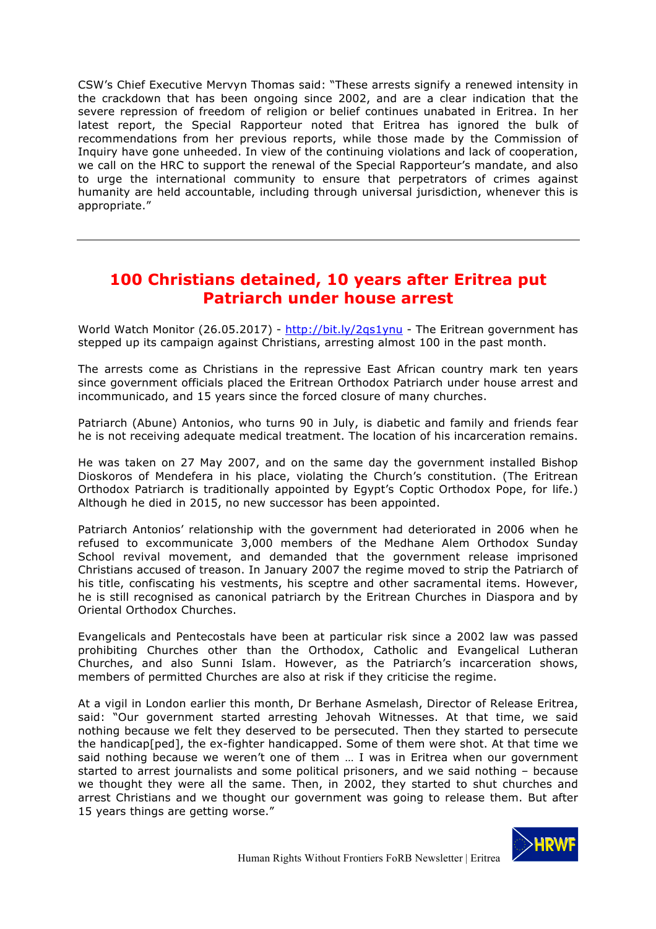CSW's Chief Executive Mervyn Thomas said: "These arrests signify a renewed intensity in the crackdown that has been ongoing since 2002, and are a clear indication that the severe repression of freedom of religion or belief continues unabated in Eritrea. In her latest report, the Special Rapporteur noted that Eritrea has ignored the bulk of recommendations from her previous reports, while those made by the Commission of Inquiry have gone unheeded. In view of the continuing violations and lack of cooperation, we call on the HRC to support the renewal of the Special Rapporteur's mandate, and also to urge the international community to ensure that perpetrators of crimes against humanity are held accountable, including through universal jurisdiction, whenever this is appropriate."

## **100 Christians detained, 10 years after Eritrea put Patriarch under house arrest**

World Watch Monitor (26.05.2017) - http://bit.ly/2qs1ynu - The Eritrean government has stepped up its campaign against Christians, arresting almost 100 in the past month.

The arrests come as Christians in the repressive East African country mark ten years since government officials placed the Eritrean Orthodox Patriarch under house arrest and incommunicado, and 15 years since the forced closure of many churches.

Patriarch (Abune) Antonios, who turns 90 in July, is diabetic and family and friends fear he is not receiving adequate medical treatment. The location of his incarceration remains.

He was taken on 27 May 2007, and on the same day the government installed Bishop Dioskoros of Mendefera in his place, violating the Church's constitution. (The Eritrean Orthodox Patriarch is traditionally appointed by Egypt's Coptic Orthodox Pope, for life.) Although he died in 2015, no new successor has been appointed.

Patriarch Antonios' relationship with the government had deteriorated in 2006 when he refused to excommunicate 3,000 members of the Medhane Alem Orthodox Sunday School revival movement, and demanded that the government release imprisoned Christians accused of treason. In January 2007 the regime moved to strip the Patriarch of his title, confiscating his vestments, his sceptre and other sacramental items. However, he is still recognised as canonical patriarch by the Eritrean Churches in Diaspora and by Oriental Orthodox Churches.

Evangelicals and Pentecostals have been at particular risk since a 2002 law was passed prohibiting Churches other than the Orthodox, Catholic and Evangelical Lutheran Churches, and also Sunni Islam. However, as the Patriarch's incarceration shows, members of permitted Churches are also at risk if they criticise the regime.

At a vigil in London earlier this month, Dr Berhane Asmelash, Director of Release Eritrea, said: "Our government started arresting Jehovah Witnesses. At that time, we said nothing because we felt they deserved to be persecuted. Then they started to persecute the handicap[ped], the ex-fighter handicapped. Some of them were shot. At that time we said nothing because we weren't one of them … I was in Eritrea when our government started to arrest journalists and some political prisoners, and we said nothing – because we thought they were all the same. Then, in 2002, they started to shut churches and arrest Christians and we thought our government was going to release them. But after 15 years things are getting worse."

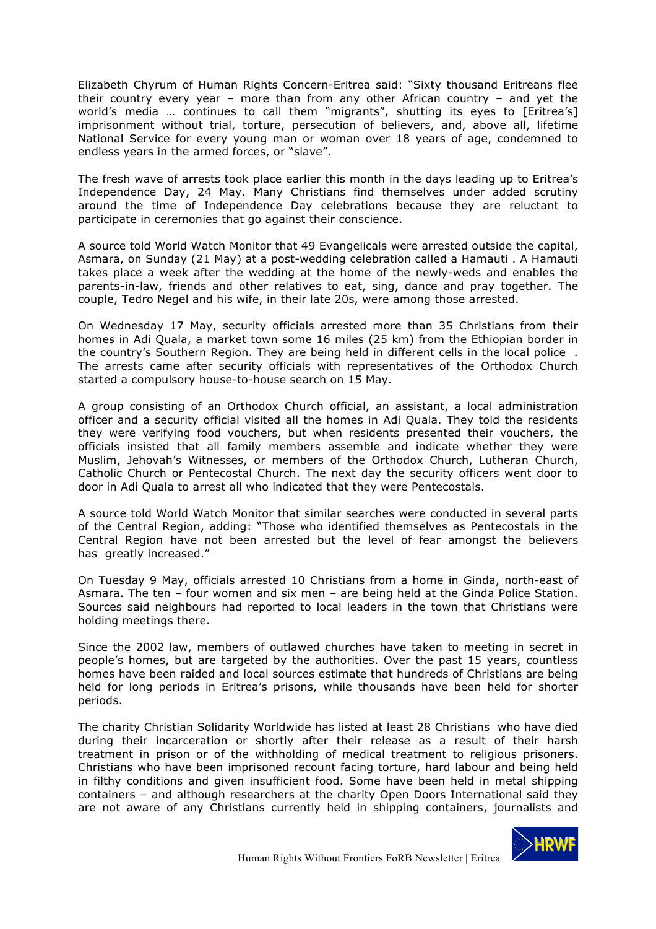Elizabeth Chyrum of Human Rights Concern-Eritrea said: "Sixty thousand Eritreans flee their country every year – more than from any other African country – and yet the world's media … continues to call them "migrants", shutting its eyes to [Eritrea's] imprisonment without trial, torture, persecution of believers, and, above all, lifetime National Service for every young man or woman over 18 years of age, condemned to endless years in the armed forces, or "slave".

The fresh wave of arrests took place earlier this month in the days leading up to Eritrea's Independence Day, 24 May. Many Christians find themselves under added scrutiny around the time of Independence Day celebrations because they are reluctant to participate in ceremonies that go against their conscience.

A source told World Watch Monitor that 49 Evangelicals were arrested outside the capital, Asmara, on Sunday (21 May) at a post-wedding celebration called a Hamauti . A Hamauti takes place a week after the wedding at the home of the newly-weds and enables the parents-in-law, friends and other relatives to eat, sing, dance and pray together. The couple, Tedro Negel and his wife, in their late 20s, were among those arrested.

On Wednesday 17 May, security officials arrested more than 35 Christians from their homes in Adi Quala, a market town some 16 miles (25 km) from the Ethiopian border in the country's Southern Region. They are being held in different cells in the local police . The arrests came after security officials with representatives of the Orthodox Church started a compulsory house-to-house search on 15 May.

A group consisting of an Orthodox Church official, an assistant, a local administration officer and a security official visited all the homes in Adi Quala. They told the residents they were verifying food vouchers, but when residents presented their vouchers, the officials insisted that all family members assemble and indicate whether they were Muslim, Jehovah's Witnesses, or members of the Orthodox Church, Lutheran Church, Catholic Church or Pentecostal Church. The next day the security officers went door to door in Adi Quala to arrest all who indicated that they were Pentecostals.

A source told World Watch Monitor that similar searches were conducted in several parts of the Central Region, adding: "Those who identified themselves as Pentecostals in the Central Region have not been arrested but the level of fear amongst the believers has greatly increased."

On Tuesday 9 May, officials arrested 10 Christians from a home in Ginda, north-east of Asmara. The ten – four women and six men – are being held at the Ginda Police Station. Sources said neighbours had reported to local leaders in the town that Christians were holding meetings there.

Since the 2002 law, members of outlawed churches have taken to meeting in secret in people's homes, but are targeted by the authorities. Over the past 15 years, countless homes have been raided and local sources estimate that hundreds of Christians are being held for long periods in Eritrea's prisons, while thousands have been held for shorter periods.

The charity Christian Solidarity Worldwide has listed at least 28 Christians who have died during their incarceration or shortly after their release as a result of their harsh treatment in prison or of the withholding of medical treatment to religious prisoners. Christians who have been imprisoned recount facing torture, hard labour and being held in filthy conditions and given insufficient food. Some have been held in metal shipping containers – and although researchers at the charity Open Doors International said they are not aware of any Christians currently held in shipping containers, journalists and